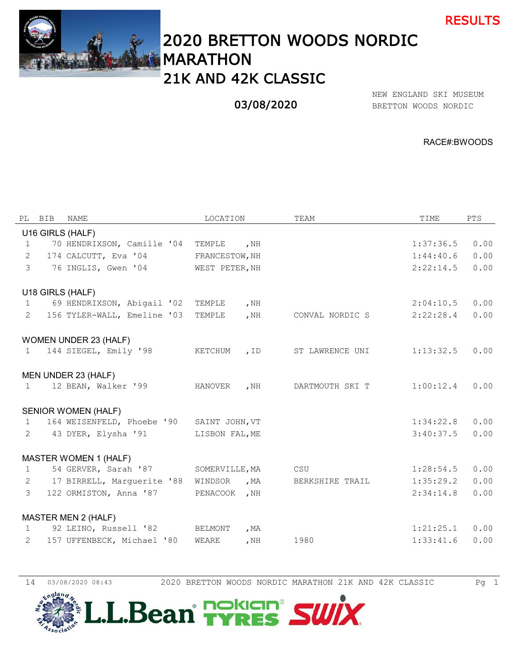



# 2020 BRETTON WOODS NORDIC MARATHON 21K AND 42K CLASSIC

## 03/08/2020

BRETTON WOODS NORDIC NEW ENGLAND SKI MUSEUM

RACE#:BWOODS

|                | PL BIB | NAME                         | LOCATION       |        | TEAM            | TIME      | PTS  |
|----------------|--------|------------------------------|----------------|--------|-----------------|-----------|------|
|                |        | U16 GIRLS (HALF)             |                |        |                 |           |      |
| $\mathbf{1}$   |        | 70 HENDRIXSON, Camille '04   | TEMPLE         | , $NH$ |                 | 1:37:36.5 | 0.00 |
| 2              |        | 174 CALCUTT, Eva '04         | FRANCESTOW, NH |        |                 | 1:44:40.6 | 0.00 |
| 3              |        | 76 INGLIS, Gwen '04          | WEST PETER, NH |        |                 | 2:22:14.5 | 0.00 |
|                |        | U18 GIRLS (HALF)             |                |        |                 |           |      |
| $\mathbf{1}$   |        | 69 HENDRIXSON, Abigail '02   | TEMPLE         | , NH   |                 | 2:04:10.5 | 0.00 |
| $\overline{2}$ |        | 156 TYLER-WALL, Emeline '03  | TEMPLE         | , NH   | CONVAL NORDIC S | 2:22:28.4 | 0.00 |
|                |        | WOMEN UNDER 23 (HALF)        |                |        |                 |           |      |
| $\mathbf{1}$   |        | 144 SIEGEL, Emily '98        | KETCHUM        | , ID   | ST LAWRENCE UNI | 1:13:32.5 | 0.00 |
|                |        | MEN UNDER 23 (HALF)          |                |        |                 |           |      |
| $\mathbf{1}$   |        | 12 BEAN, Walker '99          | HANOVER        | , NH   | DARTMOUTH SKI T | 1:00:12.4 | 0.00 |
|                |        | <b>SENIOR WOMEN (HALF)</b>   |                |        |                 |           |      |
| $\mathbf{1}$   |        | 164 WEISENFELD, Phoebe '90   | SAINT JOHN, VT |        |                 | 1:34:22.8 | 0.00 |
| 2              |        | 43 DYER, Elysha '91          | LISBON FAL, ME |        |                 | 3:40:37.5 | 0.00 |
|                |        | <b>MASTER WOMEN 1 (HALF)</b> |                |        |                 |           |      |
| $\mathbf{1}$   |        | 54 GERVER, Sarah '87         | SOMERVILLE, MA |        | CSU             | 1:28:54.5 | 0.00 |
| 2              |        | 17 BIRRELL, Marquerite '88   | WINDSOR        | , MA   | BERKSHIRE TRAIL | 1:35:29.2 | 0.00 |
| $\mathcal{E}$  |        | 122 ORMISTON, Anna '87       | PENACOOK       | , $NH$ |                 | 2:34:14.8 | 0.00 |
|                |        | MASTER MEN 2 (HALF)          |                |        |                 |           |      |
| $\mathbf{1}$   |        | 92 LEINO, Russell '82        | BELMONT        | , $MA$ |                 | 1:21:25.1 | 0.00 |
| 2              |        | 157 UFFENBECK, Michael '80   | WEARE          | , $NH$ | 1980            | 1:33:41.6 | 0.00 |

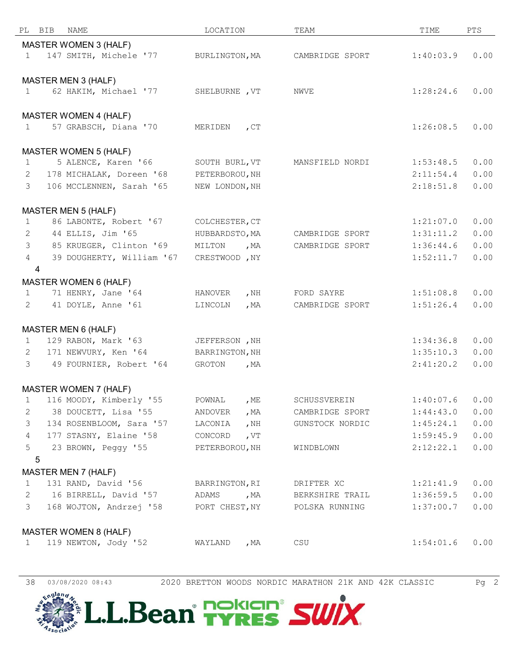| PL             | BIB<br>NAME                  | LOCATION                | TEAM            | TIME      | PTS  |
|----------------|------------------------------|-------------------------|-----------------|-----------|------|
|                | MASTER WOMEN 3 (HALF)        |                         |                 |           |      |
| $\mathbf{1}$   | 147 SMITH, Michele '77       | BURLINGTON, MA          | CAMBRIDGE SPORT | 1:40:03.9 | 0.00 |
|                |                              |                         |                 |           |      |
|                | MASTER MEN 3 (HALF)          |                         |                 |           |      |
| $\mathbf{1}$   | 62 HAKIM, Michael '77        | SHELBURNE , VT          | NWVE            | 1:28:24.6 | 0.00 |
|                |                              |                         |                 |           |      |
|                | <b>MASTER WOMEN 4 (HALF)</b> |                         |                 |           |      |
| $\mathbf{1}$   | 57 GRABSCH, Diana '70        | MERIDEN<br>$C_{\Gamma}$ |                 | 1:26:08.5 | 0.00 |
|                |                              |                         |                 |           |      |
|                | <b>MASTER WOMEN 5 (HALF)</b> |                         |                 |           |      |
| $\mathbf{1}$   | 5 ALENCE, Karen '66          | SOUTH BURL, VT          | MANSFIELD NORDI | 1:53:48.5 | 0.00 |
| 2              | 178 MICHALAK, Doreen '68     | PETERBOROU, NH          |                 | 2:11:54.4 | 0.00 |
| 3              | 106 MCCLENNEN, Sarah '65     | NEW LONDON, NH          |                 | 2:18:51.8 | 0.00 |
|                |                              |                         |                 |           |      |
|                | <b>MASTER MEN 5 (HALF)</b>   |                         |                 |           |      |
| $\mathbf{1}$   | 86 LABONTE, Robert '67       | COLCHESTER, CT          |                 | 1:21:07.0 | 0.00 |
| 2              | 44 ELLIS, Jim '65            | HUBBARDSTO, MA          | CAMBRIDGE SPORT | 1:31:11.2 | 0.00 |
| $\mathcal{S}$  | 85 KRUEGER, Clinton '69      | MILTON<br>, $MA$        | CAMBRIDGE SPORT | 1:36:44.6 | 0.00 |
| $\overline{4}$ | 39 DOUGHERTY, William '67    | CRESTWOOD , NY          |                 | 1:52:11.7 | 0.00 |
| $\overline{4}$ |                              |                         |                 |           |      |
|                | MASTER WOMEN 6 (HALF)        |                         |                 |           |      |
| $\mathbf{1}$   | 71 HENRY, Jane '64           | HANOVER<br>, $NH$       | FORD SAYRE      | 1:51:08.8 | 0.00 |
| $\mathbf{2}$   | 41 DOYLE, Anne '61           | , $MA$<br>LINCOLN       | CAMBRIDGE SPORT | 1:51:26.4 | 0.00 |
|                |                              |                         |                 |           |      |
|                | MASTER MEN 6 (HALF)          |                         |                 |           |      |
| $\mathbf{1}$   | 129 RABON, Mark '63          | JEFFERSON , NH          |                 | 1:34:36.8 | 0.00 |
| $\mathbf{2}$   | 171 NEWVURY, Ken '64         | BARRINGTON, NH          |                 | 1:35:10.3 | 0.00 |
| 3              | 49 FOURNIER, Robert '64      | GROTON<br>, $MA$        |                 | 2:41:20.2 | 0.00 |
|                |                              |                         |                 |           |      |
|                | <b>MASTER WOMEN 7 (HALF)</b> |                         |                 |           |      |
| $\mathbf{1}$   | 116 MOODY, Kimberly '55      | POWNAL<br>, $ME$        | SCHUSSVEREIN    | 1:40:07.6 | 0.00 |
| $\mathbf{2}$   | 38 DOUCETT, Lisa '55         | ANDOVER<br>, $MA$       | CAMBRIDGE SPORT | 1:44:43.0 | 0.00 |
| 3              | 134 ROSENBLOOM, Sara '57     | , NH<br>LACONIA         | GUNSTOCK NORDIC | 1:45:24.1 | 0.00 |
| $\overline{4}$ | 177 STASNY, Elaine '58       | CONCORD<br>, $VT$       |                 | 1:59:45.9 | 0.00 |
| 5              | 23 BROWN, Peggy '55          | PETERBOROU, NH          | WINDBLOWN       | 2:12:22.1 | 0.00 |
| 5              |                              |                         |                 |           |      |
|                | <b>MASTER MEN 7 (HALF)</b>   |                         |                 |           |      |
| 1              | 131 RAND, David '56          | BARRINGTON, RI          | DRIFTER XC      | 1:21:41.9 | 0.00 |
| 2              | 16 BIRRELL, David '57        | ADAMS<br>, MA           | BERKSHIRE TRAIL | 1:36:59.5 | 0.00 |
| 3              | 168 WOJTON, Andrzej '58      | PORT CHEST, NY          | POLSKA RUNNING  | 1:37:00.7 | 0.00 |
|                |                              |                         |                 |           |      |
|                | <b>MASTER WOMEN 8 (HALF)</b> |                         |                 |           |      |
| $\mathbf{1}$   | 119 NEWTON, Jody '52         | WAYLAND<br>, $MA$       | CSU             | 1:54:01.6 | 0.00 |
|                |                              |                         |                 |           |      |



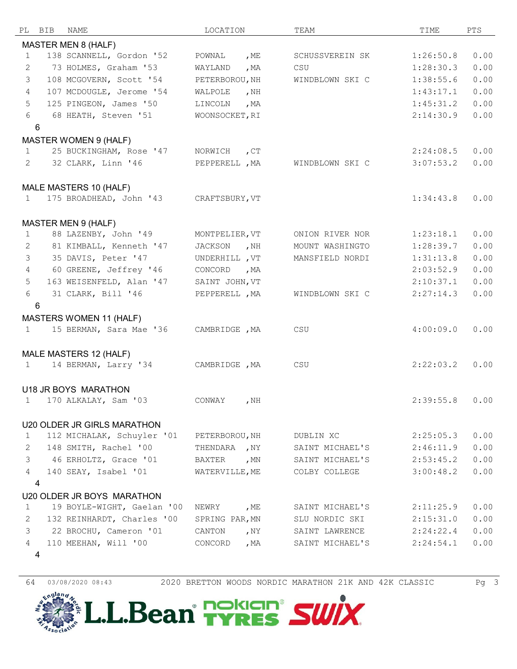| РL             | BIB | NAME                           | LOCATION       |              | TEAM            | TIME      | PTS  |
|----------------|-----|--------------------------------|----------------|--------------|-----------------|-----------|------|
|                |     | <b>MASTER MEN 8 (HALF)</b>     |                |              |                 |           |      |
| $\mathbf{1}$   |     | 138 SCANNELL, Gordon '52       | POWNAL         | , ME         | SCHUSSVEREIN SK | 1:26:50.8 | 0.00 |
| 2              |     | 73 HOLMES, Graham '53          | WAYLAND        | , $MA$       | CSU             | 1:28:30.3 | 0.00 |
| 3              |     | 108 MCGOVERN, Scott '54        | PETERBOROU, NH |              | WINDBLOWN SKI C | 1:38:55.6 | 0.00 |
| $\overline{4}$ |     | 107 MCDOUGLE, Jerome '54       | WALPOLE        | , $NH$       |                 | 1:43:17.1 | 0.00 |
| 5              |     | 125 PINGEON, James '50         | LINCOLN        | , $MA$       |                 | 1:45:31.2 | 0.00 |
| 6              |     | 68 HEATH, Steven '51           | WOONSOCKET, RI |              |                 | 2:14:30.9 | 0.00 |
| 6              |     |                                |                |              |                 |           |      |
|                |     | MASTER WOMEN 9 (HALF)          |                |              |                 |           |      |
| $\mathbf{1}$   |     | 25 BUCKINGHAM, Rose '47        | NORWICH        | $C_{\Gamma}$ |                 | 2:24:08.5 | 0.00 |
| $\overline{2}$ |     | 32 CLARK, Linn '46             | PEPPERELL, MA  |              | WINDBLOWN SKI C | 3:07:53.2 | 0.00 |
|                |     |                                |                |              |                 |           |      |
|                |     | MALE MASTERS 10 (HALF)         |                |              |                 |           |      |
| $\mathbf{1}$   |     | 175 BROADHEAD, John '43        | CRAFTSBURY, VT |              |                 | 1:34:43.8 | 0.00 |
|                |     |                                |                |              |                 |           |      |
|                |     | MASTER MEN 9 (HALF)            |                |              |                 |           |      |
| $\mathbf{1}$   |     | 88 LAZENBY, John '49           | MONTPELIER, VT |              | ONION RIVER NOR | 1:23:18.1 | 0.00 |
| 2              |     | 81 KIMBALL, Kenneth '47        | JACKSON        | , $NH$       | MOUNT WASHINGTO | 1:28:39.7 | 0.00 |
| 3              |     | 35 DAVIS, Peter '47            | UNDERHILL , VT |              | MANSFIELD NORDI | 1:31:13.8 | 0.00 |
| $\overline{4}$ |     | 60 GREENE, Jeffrey '46         | CONCORD        | , MA         |                 | 2:03:52.9 | 0.00 |
| 5              |     | 163 WEISENFELD, Alan '47       | SAINT JOHN, VT |              |                 | 2:10:37.1 | 0.00 |
| 6              |     | 31 CLARK, Bill '46             | PEPPERELL , MA |              | WINDBLOWN SKI C | 2:27:14.3 | 0.00 |
| 6              |     |                                |                |              |                 |           |      |
|                |     | <b>MASTERS WOMEN 11 (HALF)</b> |                |              |                 |           |      |
| $\mathbf{1}$   |     | 15 BERMAN, Sara Mae '36        | CAMBRIDGE , MA |              | CSU             | 4:00:09.0 | 0.00 |
|                |     |                                |                |              |                 |           |      |
|                |     | MALE MASTERS 12 (HALF)         |                |              |                 |           |      |
| $\mathbf{1}$   |     | 14 BERMAN, Larry '34           | CAMBRIDGE , MA |              | CSU             | 2:22:03.2 | 0.00 |
|                |     |                                |                |              |                 |           |      |
|                |     | U18 JR BOYS MARATHON           |                |              |                 |           |      |
| $\mathbf{1}$   |     | 170 ALKALAY, Sam '03           | CONWAY         | , $NH$       |                 | 2:39:55.8 | 0.00 |
|                |     |                                |                |              |                 |           |      |
|                |     | U20 OLDER JR GIRLS MARATHON    |                |              |                 |           |      |
| 1              |     | 112 MICHALAK, Schuyler '01     | PETERBOROU, NH |              | DUBLIN XC       | 2:25:05.3 | 0.00 |
| 2              |     | 148 SMITH, Rachel '00          | THENDARA , NY  |              | SAINT MICHAEL'S | 2:46:11.9 | 0.00 |
| 3              |     | 46 ERHOLTZ, Grace '01          | BAXTER         | , $MN$       | SAINT MICHAEL'S | 2:53:45.2 | 0.00 |
| 4              |     | 140 SEAY, Isabel '01           | WATERVILLE, ME |              | COLBY COLLEGE   | 3:00:48.2 | 0.00 |
| 4              |     |                                |                |              |                 |           |      |
|                |     | U20 OLDER JR BOYS MARATHON     |                |              |                 |           |      |
| $\mathbf 1$    |     | 19 BOYLE-WIGHT, Gaelan '00     | NEWRY          | , ME         | SAINT MICHAEL'S | 2:11:25.9 | 0.00 |
| 2              |     | 132 REINHARDT, Charles '00     | SPRING PAR, MN |              | SLU NORDIC SKI  | 2:15:31.0 | 0.00 |
| 3              |     | 22 BROCHU, Cameron '01         | CANTON         | , NY         | SAINT LAWRENCE  | 2:24:22.4 | 0.00 |
| 4              |     | 110 MEEHAN, Will '00           | CONCORD        | , MA         | SAINT MICHAEL'S | 2:24:54.1 | 0.00 |
| 4              |     |                                |                |              |                 |           |      |

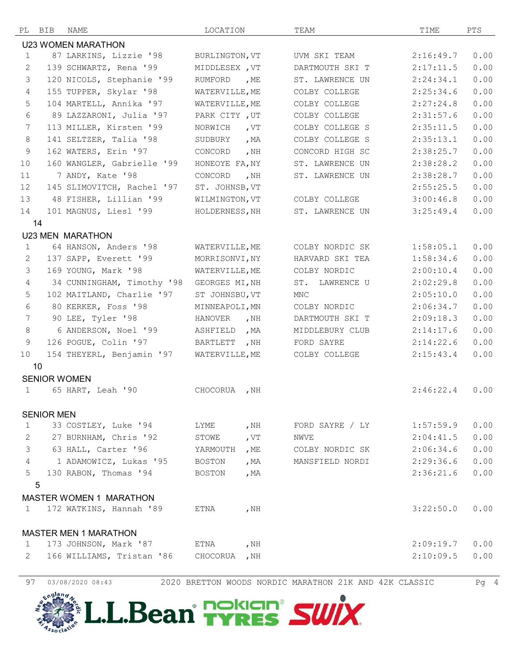| PL             | BIB               | NAME                           | LOCATION       |                       | TEAM            | TIME      | PTS  |
|----------------|-------------------|--------------------------------|----------------|-----------------------|-----------------|-----------|------|
|                |                   | <b>U23 WOMEN MARATHON</b>      |                |                       |                 |           |      |
| $\mathbf{1}$   |                   | 87 LARKINS, Lizzie '98         | BURLINGTON, VT |                       | UVM SKI TEAM    | 2:16:49.7 | 0.00 |
| 2              |                   | 139 SCHWARTZ, Rena '99         | MIDDLESEX, VT  |                       | DARTMOUTH SKI T | 2:17:11.5 | 0.00 |
| 3              |                   | 120 NICOLS, Stephanie '99      | RUMFORD        | , $ME$                | ST. LAWRENCE UN | 2:24:34.1 | 0.00 |
| $\overline{4}$ |                   | 155 TUPPER, Skylar '98         | WATERVILLE, ME |                       | COLBY COLLEGE   | 2:25:34.6 | 0.00 |
| 5              |                   | 104 MARTELL, Annika '97        | WATERVILLE, ME |                       | COLBY COLLEGE   | 2:27:24.8 | 0.00 |
| 6              |                   | 89 LAZZARONI, Julia '97        | PARK CITY, UT  |                       | COLBY COLLEGE   | 2:31:57.6 | 0.00 |
| 7              |                   | 113 MILLER, Kirsten '99        | NORWICH        | , $VT$                | COLBY COLLEGE S | 2:35:11.5 | 0.00 |
| $\,8\,$        |                   | 141 SELTZER, Talia '98         | SUDBURY        | , $MA$                | COLBY COLLEGE S | 2:35:13.1 | 0.00 |
| 9              |                   | 162 WATERS, Erin '97           | CONCORD        | , $NH$                | CONCORD HIGH SC | 2:38:25.7 | 0.00 |
| 10             |                   | 160 WANGLER, Gabrielle '99     | HONEOYE FA, NY |                       | ST. LAWRENCE UN | 2:38:28.2 | 0.00 |
| 11             |                   | 7 ANDY, Kate '98               | CONCORD        | , $NH$                | ST. LAWRENCE UN | 2:38:28.7 | 0.00 |
| 12             |                   | 145 SLIMOVITCH, Rachel '97     | ST. JOHNSB, VT |                       |                 | 2:55:25.5 | 0.00 |
| 13             |                   | 48 FISHER, Lillian '99         | WILMINGTON, VT |                       | COLBY COLLEGE   | 3:00:46.8 | 0.00 |
| 14             |                   | 101 MAGNUS, Liesl '99          | HOLDERNESS, NH |                       | ST. LAWRENCE UN | 3:25:49.4 | 0.00 |
|                | 14                |                                |                |                       |                 |           |      |
|                |                   | <b>U23 MEN MARATHON</b>        |                |                       |                 |           |      |
| $\mathbf 1$    |                   | 64 HANSON, Anders '98          | WATERVILLE, ME |                       | COLBY NORDIC SK | 1:58:05.1 | 0.00 |
| 2              |                   | 137 SAPP, Everett '99          | MORRISONVI, NY |                       | HARVARD SKI TEA | 1:58:34.6 | 0.00 |
| 3              |                   | 169 YOUNG, Mark '98            | WATERVILLE, ME |                       | COLBY NORDIC    | 2:00:10.4 | 0.00 |
| $\overline{4}$ |                   | 34 CUNNINGHAM, Timothy '98     | GEORGES MI, NH |                       | ST. LAWRENCE U  | 2:02:29.8 | 0.00 |
| 5              |                   | 102 MAITLAND, Charlie '97      | ST JOHNSBU, VT |                       | <b>MNC</b>      | 2:05:10.0 | 0.00 |
| 6              |                   | 80 KERKER, Foss '98            | MINNEAPOLI, MN |                       | COLBY NORDIC    | 2:06:34.7 | 0.00 |
| 7              |                   | 90 LEE, Tyler '98              | HANOVER        | , $NH$                | DARTMOUTH SKI T | 2:09:18.3 | 0.00 |
| 8              |                   | 6 ANDERSON, Noel '99           | ASHFIELD       | , $MA$                | MIDDLEBURY CLUB | 2:14:17.6 | 0.00 |
| 9              |                   | 126 POGUE, Colin '97           | BARTLETT       | , $NH$                | FORD SAYRE      | 2:14:22.6 | 0.00 |
| 10             |                   | 154 THEYERL, Benjamin '97      | WATERVILLE, ME |                       | COLBY COLLEGE   | 2:15:43.4 | 0.00 |
|                | 10                |                                |                |                       |                 |           |      |
|                |                   | <b>SENIOR WOMEN</b>            |                |                       |                 |           |      |
| $\mathbf 1$    |                   | 65 HART, Leah '90              | CHOCORUA       | , $NH$                |                 | 2:46:22.4 | 0.00 |
|                |                   |                                |                |                       |                 |           |      |
|                | <b>SENIOR MEN</b> |                                |                |                       |                 |           |      |
| $\mathbf{1}$   |                   | 33 COSTLEY, Luke '94           | LYME           | , $NH$                | FORD SAYRE / LY | 1:57:59.9 | 0.00 |
| 2              |                   | 27 BURNHAM, Chris '92          | STOWE          | , $\operatorname{VT}$ | NWVE            | 2:04:41.5 | 0.00 |
| 3              |                   | 63 HALL, Carter '96            | YARMOUTH       | , ME                  | COLBY NORDIC SK | 2:06:34.6 | 0.00 |
| $\overline{4}$ |                   | 1 ADAMOWICZ, Lukas '95         | <b>BOSTON</b>  | , $MA$                | MANSFIELD NORDI | 2:29:36.6 | 0.00 |
| 5              |                   | 130 RABON, Thomas '94          | <b>BOSTON</b>  | , $MA$                |                 | 2:36:21.6 | 0.00 |
|                | 5                 |                                |                |                       |                 |           |      |
|                |                   | <b>MASTER WOMEN 1 MARATHON</b> |                |                       |                 |           |      |
| 1              |                   | 172 WATKINS, Hannah '89        | ETNA           | , $NH$                |                 | 3:22:50.0 | 0.00 |
|                |                   |                                |                |                       |                 |           |      |
|                |                   | <b>MASTER MEN 1 MARATHON</b>   |                |                       |                 |           |      |
| $\mathbf{1}$   |                   | 173 JOHNSON, Mark '87          | ETNA           | , $NH$                |                 | 2:09:19.7 | 0.00 |
| 2              |                   | 166 WILLIAMS, Tristan '86      | CHOCORUA       | , $NH$                |                 | 2:10:09.5 | 0.00 |
|                |                   |                                |                |                       |                 |           |      |



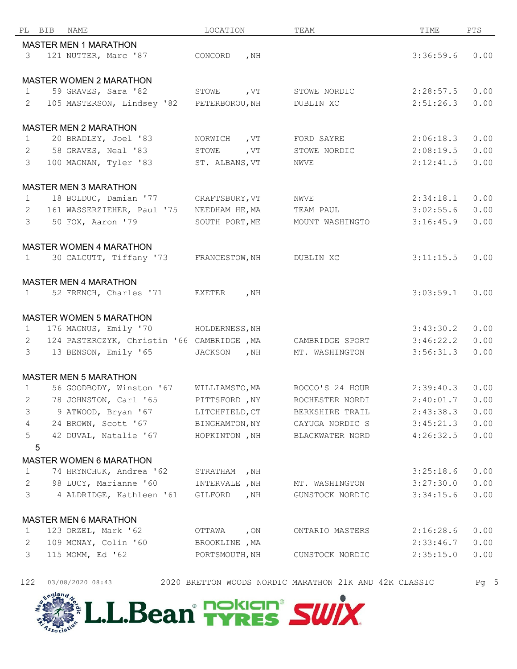| РL             | BIB | NAME                                                | LOCATION                         |        | TEAM            | TIME      | PTS  |
|----------------|-----|-----------------------------------------------------|----------------------------------|--------|-----------------|-----------|------|
|                |     | <b>MASTER MEN 1 MARATHON</b>                        |                                  |        |                 |           |      |
| $\mathcal{S}$  |     | 121 NUTTER, Marc '87                                | CONCORD                          | , $NH$ |                 | 3:36:59.6 | 0.00 |
|                |     |                                                     |                                  |        |                 |           |      |
|                |     | <b>MASTER WOMEN 2 MARATHON</b>                      |                                  |        |                 |           |      |
| $\mathbf{1}$   |     | 59 GRAVES, Sara '82                                 | STOWE                            | , $VT$ | STOWE NORDIC    | 2:28:57.5 | 0.00 |
| 2              |     | 105 MASTERSON, Lindsey '82                          | PETERBOROU, NH                   |        | DUBLIN XC       | 2:51:26.3 | 0.00 |
|                |     |                                                     |                                  |        |                 |           |      |
|                |     | <b>MASTER MEN 2 MARATHON</b>                        |                                  |        |                 |           |      |
| $\mathbf{1}$   |     | 20 BRADLEY, Joel '83                                | NORWICH                          | , $VT$ | FORD SAYRE      | 2:06:18.3 | 0.00 |
| 2              |     | 58 GRAVES, Neal '83                                 | STOWE                            | , $VT$ | STOWE NORDIC    | 2:08:19.5 | 0.00 |
| 3              |     | 100 MAGNAN, Tyler '83                               | ST. ALBANS, VT                   |        | NWVE            | 2:12:41.5 | 0.00 |
|                |     |                                                     |                                  |        |                 |           |      |
|                |     | <b>MASTER MEN 3 MARATHON</b>                        |                                  |        |                 |           |      |
| $\mathbf{1}$   |     | 18 BOLDUC, Damian '77                               | CRAFTSBURY, VT                   |        | NWVE            | 2:34:18.1 | 0.00 |
| 2              |     | 161 WASSERZIEHER, Paul '75                          | NEEDHAM HE, MA                   |        | TEAM PAUL       | 3:02:55.6 | 0.00 |
| 3              |     | 50 FOX, Aaron '79                                   | SOUTH PORT, ME                   |        | MOUNT WASHINGTO | 3:16:45.9 | 0.00 |
|                |     |                                                     |                                  |        |                 |           |      |
|                |     | <b>MASTER WOMEN 4 MARATHON</b>                      |                                  |        |                 |           |      |
| $\mathbf{1}$   |     | 30 CALCUTT, Tiffany '73                             | FRANCESTOW, NH                   |        | DUBLIN XC       | 3:11:15.5 | 0.00 |
|                |     |                                                     |                                  |        |                 |           |      |
|                |     | <b>MASTER MEN 4 MARATHON</b>                        |                                  |        |                 |           |      |
| $\mathbf{1}$   |     | 52 FRENCH, Charles '71                              | EXETER                           | , $NH$ |                 | 3:03:59.1 | 0.00 |
|                |     |                                                     |                                  |        |                 |           |      |
|                |     | <b>MASTER WOMEN 5 MARATHON</b>                      |                                  |        |                 |           |      |
| $\mathbf{1}$   |     | 176 MAGNUS, Emily '70                               | HOLDERNESS, NH                   |        |                 | 3:43:30.2 | 0.00 |
| 2              |     | 124 PASTERCZYK, Christin '66 CAMBRIDGE, MA          |                                  |        | CAMBRIDGE SPORT | 3:46:22.2 | 0.00 |
| 3              |     | 13 BENSON, Emily '65                                | JACKSON                          | , $NH$ | MT. WASHINGTON  | 3:56:31.3 | 0.00 |
|                |     |                                                     |                                  |        |                 |           |      |
|                |     | <b>MASTER MEN 5 MARATHON</b>                        |                                  |        |                 |           |      |
| 1              |     | 56 GOODBODY, Winston '67                            | WILLIAMSTO, MA                   |        | ROCCO'S 24 HOUR | 2:39:40.3 | 0.00 |
| 2              |     | 78 JOHNSTON, Carl '65                               | PITTSFORD, NY                    |        | ROCHESTER NORDI | 2:40:01.7 | 0.00 |
| 3              |     | 9 ATWOOD, Bryan '67                                 | LITCHFIELD, CT                   |        | BERKSHIRE TRAIL | 2:43:38.3 | 0.00 |
| $\overline{4}$ |     | 24 BROWN, Scott '67                                 | BINGHAMTON, NY                   |        | CAYUGA NORDIC S | 3:45:21.3 | 0.00 |
| 5              |     | 42 DUVAL, Natalie '67                               | HOPKINTON , NH                   |        | BLACKWATER NORD | 4:26:32.5 | 0.00 |
|                | 5   |                                                     |                                  |        |                 |           |      |
|                |     | <b>MASTER WOMEN 6 MARATHON</b>                      |                                  |        |                 |           |      |
| $\mathbf{1}$   |     | 74 HRYNCHUK, Andrea '62                             | STRATHAM                         | , NH   |                 | 3:25:18.6 | 0.00 |
| $\mathbf{2}$   |     | 98 LUCY, Marianne '60                               | INTERVALE , NH                   |        | MT. WASHINGTON  | 3:27:30.0 | 0.00 |
| 3              |     | 4 ALDRIDGE, Kathleen '61                            | GILFORD                          | , $NH$ | GUNSTOCK NORDIC | 3:34:15.6 | 0.00 |
|                |     |                                                     |                                  |        |                 |           |      |
| 1              |     | <b>MASTER MEN 6 MARATHON</b><br>123 ORZEL, Mark '62 |                                  | , $ON$ | ONTARIO MASTERS | 2:16:28.6 | 0.00 |
| 2              |     | 109 MCNAY, Colin '60                                | OTTAWA                           |        |                 | 2:33:46.7 | 0.00 |
| 3              |     | 115 MOMM, Ed '62                                    | BROOKLINE , MA<br>PORTSMOUTH, NH |        |                 | 2:35:15.0 | 0.00 |
|                |     |                                                     |                                  |        | GUNSTOCK NORDIC |           |      |
|                |     |                                                     |                                  |        |                 |           |      |

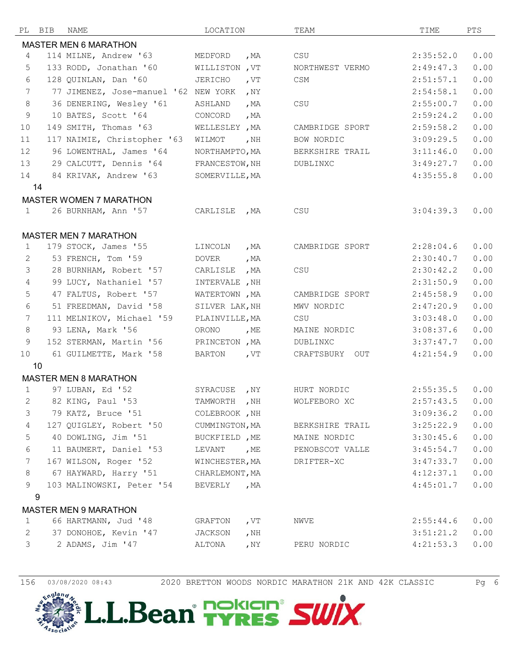| РL              | BIB | NAME                                 | LOCATION              |        | TEAM            | TIME      | PTS  |
|-----------------|-----|--------------------------------------|-----------------------|--------|-----------------|-----------|------|
|                 |     | <b>MASTER MEN 6 MARATHON</b>         |                       |        |                 |           |      |
| 4               |     | 114 MILNE, Andrew '63                | MEDFORD               | , $MA$ | CSU             | 2:35:52.0 | 0.00 |
| 5               |     | 133 RODD, Jonathan '60               | <b>WILLISTON</b> , VT |        | NORTHWEST VERMO | 2:49:47.3 | 0.00 |
| $6\,$           |     | 128 QUINLAN, Dan '60                 | JERICHO               | , $VT$ | CSM             | 2:51:57.1 | 0.00 |
| $7\phantom{.0}$ |     | 77 JIMENEZ, Jose-manuel '62 NEW YORK |                       | , $NY$ |                 | 2:54:58.1 | 0.00 |
| 8               |     | 36 DENERING, Wesley '61              | ASHLAND               | , $MA$ | CSU             | 2:55:00.7 | 0.00 |
| 9               |     | 10 BATES, Scott '64                  | CONCORD               | , $MA$ |                 | 2:59:24.2 | 0.00 |
| 10              |     | 149 SMITH, Thomas '63                | WELLESLEY, MA         |        | CAMBRIDGE SPORT | 2:59:58.2 | 0.00 |
| 11              |     | 117 NAIMIE, Christopher '63          | WILMOT                | , $NH$ | BOW NORDIC      | 3:09:29.5 | 0.00 |
| 12              |     | 96 LOWENTHAL, James '64              | NORTHAMPTO, MA        |        | BERKSHIRE TRAIL | 3:11:46.0 | 0.00 |
| 13              |     | 29 CALCUTT, Dennis '64               | FRANCESTOW, NH        |        | DUBLINXC        | 3:49:27.7 | 0.00 |
| 14              |     | 84 KRIVAK, Andrew '63                | SOMERVILLE, MA        |        |                 | 4:35:55.8 | 0.00 |
|                 | 14  |                                      |                       |        |                 |           |      |
|                 |     | <b>MASTER WOMEN 7 MARATHON</b>       |                       |        |                 |           |      |
| $\mathbf{1}$    |     | 26 BURNHAM, Ann '57                  | CARLISLE              | , MA   | CSU             | 3:04:39.3 | 0.00 |
|                 |     |                                      |                       |        |                 |           |      |
|                 |     | <b>MASTER MEN 7 MARATHON</b>         |                       |        |                 |           |      |
| 1               |     | 179 STOCK, James '55                 | LINCOLN               | , $MA$ | CAMBRIDGE SPORT | 2:28:04.6 | 0.00 |
| 2               |     | 53 FRENCH, Tom '59                   | DOVER                 | , $MA$ |                 | 2:30:40.7 | 0.00 |
| 3               |     | 28 BURNHAM, Robert '57               | CARLISLE              | , MA   | CSU             | 2:30:42.2 | 0.00 |
| $\overline{4}$  |     | 99 LUCY, Nathaniel '57               | INTERVALE , NH        |        |                 | 2:31:50.9 | 0.00 |
| 5               |     | 47 FALTUS, Robert '57                | WATERTOWN, MA         |        | CAMBRIDGE SPORT | 2:45:58.9 | 0.00 |
| 6               |     | 51 FREEDMAN, David '58               | SILVER LAK, NH        |        | MWV NORDIC      | 2:47:20.9 | 0.00 |
| 7               |     | 111 MELNIKOV, Michael '59            | PLAINVILLE, MA        |        | CSU             | 3:03:48.0 | 0.00 |
| $\,8\,$         |     | 93 LENA, Mark '56                    | ORONO                 | , $ME$ | MAINE NORDIC    | 3:08:37.6 | 0.00 |
| 9               |     | 152 STERMAN, Martin '56              | PRINCETON, MA         |        | DUBLINXC        | 3:37:47.7 | 0.00 |
| 10              |     | 61 GUILMETTE, Mark '58               | <b>BARTON</b>         | , $VT$ | CRAFTSBURY OUT  | 4:21:54.9 | 0.00 |
|                 | 10  |                                      |                       |        |                 |           |      |
|                 |     | <b>MASTER MEN 8 MARATHON</b>         |                       |        |                 |           |      |
| $\mathbf{1}$    |     | 97 LUBAN, Ed '52                     | SYRACUSE              | , $NY$ | HURT NORDIC     | 2:55:35.5 | 0.00 |
| 2               |     | 82 KING, Paul '53                    | TAMWORTH              | , $NH$ | WOLFEBORO XC    | 2:57:43.5 | 0.00 |
| 3               |     | 79 KATZ, Bruce '51                   | COLEBROOK, NH         |        |                 | 3:09:36.2 | 0.00 |
| 4               |     | 127 QUIGLEY, Robert '50              | CUMMINGTON, MA        |        | BERKSHIRE TRAIL | 3:25:22.9 | 0.00 |
| 5               |     | 40 DOWLING, Jim '51                  | BUCKFIELD , ME        |        | MAINE NORDIC    | 3:30:45.6 | 0.00 |
| 6               |     | 11 BAUMERT, Daniel '53               | LEVANT                | , ME   | PENOBSCOT VALLE | 3:45:54.7 | 0.00 |
| 7               |     | 167 WILSON, Roger '52                | WINCHESTER, MA        |        | DRIFTER-XC      | 3:47:33.7 | 0.00 |
| 8               |     | 67 HAYWARD, Harry '51                | CHARLEMONT, MA        |        |                 | 4:12:37.1 | 0.00 |
| 9               |     | 103 MALINOWSKI, Peter '54            | BEVERLY               | , MA   |                 | 4:45:01.7 | 0.00 |
|                 | 9   |                                      |                       |        |                 |           |      |
|                 |     | <b>MASTER MEN 9 MARATHON</b>         |                       |        |                 |           |      |
| $\mathbf{1}$    |     | 66 HARTMANN, Jud '48                 | GRAFTON               | , $VT$ | NWVE            | 2:55:44.6 | 0.00 |
| $\mathbf{2}$    |     | 37 DONOHOE, Kevin '47                | JACKSON               | , $NH$ |                 | 3:51:21.2 | 0.00 |
| 3               |     | 2 ADAMS, Jim '47                     | ALTONA                | , $NY$ | PERU NORDIC     | 4:21:53.3 | 0.00 |
|                 |     |                                      |                       |        |                 |           |      |

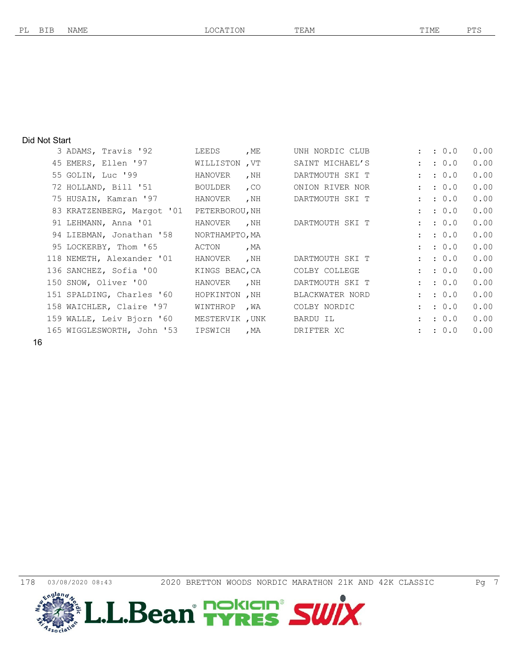#### Did Not Start

| 3 ADAMS, Travis '92        | LEEDS          | , ME   | UNH NORDIC CLUB |                      | : 0.0            | 0.00 |
|----------------------------|----------------|--------|-----------------|----------------------|------------------|------|
| 45 EMERS, Ellen '97        | WILLISTON , VT |        | SAINT MICHAEL'S | $\mathbf{L}$         | : 0.0            | 0.00 |
| 55 GOLIN, Luc '99          | HANOVER        | , NH   | DARTMOUTH SKI T | $\mathbf{L}$         | : 0.0            | 0.00 |
| 72 HOLLAND, Bill '51       | BOULDER        | $,$ CO | ONION RIVER NOR | $\mathbf{r}$         | : 0.0            | 0.00 |
| 75 HUSAIN, Kamran '97      | HANOVER        | , $NH$ | DARTMOUTH SKI T |                      | : 0.0            | 0.00 |
| 83 KRATZENBERG, Margot '01 | PETERBOROU, NH |        |                 | $\mathbf{r}$         | : 0.0            | 0.00 |
| 91 LEHMANN, Anna '01       | HANOVER        | , NH   | DARTMOUTH SKI T | 2 <sup>2</sup>       | : 0.0            | 0.00 |
| 94 LIEBMAN, Jonathan '58   | NORTHAMPTO, MA |        |                 | $\mathbf{r}$         | : 0.0            | 0.00 |
| 95 LOCKERBY, Thom '65      | ACTON          | , $MA$ |                 | $\mathbf{L}$         | : 0.0            | 0.00 |
| 118 NEMETH, Alexander '01  | HANOVER        | , NH   | DARTMOUTH SKI T | $\mathbf{L}$         | : 0.0            | 0.00 |
| 136 SANCHEZ, Sofia '00     | KINGS BEAC, CA |        | COLBY COLLEGE   | $\mathbf{r}$         | $\therefore$ 0.0 | 0.00 |
| 150 SNOW, Oliver '00       | HANOVER        | , NH   | DARTMOUTH SKI T | $\mathbf{r}$         | : 0.0            | 0.00 |
| 151 SPALDING, Charles '60  | HOPKINTON , NH |        | BLACKWATER NORD | $\mathbf{r}$         | : 0.0            | 0.00 |
| 158 WAICHLER, Claire '97   | WINTHROP       | , WA   | COLBY NORDIC    | $\mathbf{r}$         | $\therefore$ 0.0 | 0.00 |
| 159 WALLE, Leiv Bjorn '60  | MESTERVIK, UNK |        | BARDU IL        | $\mathbf{L}$         | : 0.0            | 0.00 |
| 165 WIGGLESWORTH, John '53 | IPSWICH        | , MA   | DRIFTER XC      | $\ddot{\phantom{a}}$ | : 0.0            | 0.00 |
|                            |                |        |                 |                      |                  |      |



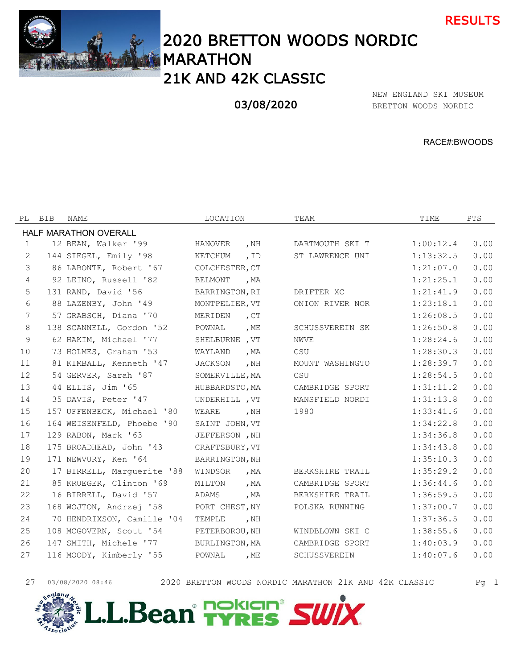



# 2020 BRETTON WOODS NORDIC MARATHON 21K AND 42K CLASSIC

## 03/08/2020

BRETTON WOODS NORDIC NEW ENGLAND SKI MUSEUM

RACE#:BWOODS

|                | PL BIB | NAME                       | LOCATION       |             | TEAM                | TIME      | <b>PTS</b> |
|----------------|--------|----------------------------|----------------|-------------|---------------------|-----------|------------|
|                |        | HALF MARATHON OVERALL      |                |             |                     |           |            |
| 1              |        | 12 BEAN, Walker '99        | HANOVER        | , $NH$      | DARTMOUTH SKI T     | 1:00:12.4 | 0.00       |
| 2              |        | 144 SIEGEL, Emily '98      | KETCHUM        | $,$ ID      | ST LAWRENCE UNI     | 1:13:32.5 | 0.00       |
| 3              |        | 86 LABONTE, Robert '67     | COLCHESTER, CT |             |                     | 1:21:07.0 | 0.00       |
| $\overline{4}$ |        | 92 LEINO, Russell '82      | BELMONT        | , MA        |                     | 1:21:25.1 | 0.00       |
| 5              |        | 131 RAND, David '56        | BARRINGTON, RI |             | DRIFTER XC          | 1:21:41.9 | 0.00       |
| 6              |        | 88 LAZENBY, John '49       | MONTPELIER, VT |             | ONION RIVER NOR     | 1:23:18.1 | 0.00       |
| 7              |        | 57 GRABSCH, Diana '70      | MERIDEN        | $C_{\rm T}$ |                     | 1:26:08.5 | 0.00       |
| 8              |        | 138 SCANNELL, Gordon '52   | POWNAL         | , $ME$      | SCHUSSVEREIN SK     | 1:26:50.8 | 0.00       |
| 9              |        | 62 HAKIM, Michael '77      | SHELBURNE , VT |             | <b>NWVE</b>         | 1:28:24.6 | 0.00       |
| 10             |        | 73 HOLMES, Graham '53      | WAYLAND        | , MA        | CSU                 | 1:28:30.3 | 0.00       |
| 11             |        | 81 KIMBALL, Kenneth '47    | JACKSON        | , $NH$      | MOUNT WASHINGTO     | 1:28:39.7 | 0.00       |
| 12             |        | 54 GERVER, Sarah '87       | SOMERVILLE, MA |             | CSU                 | 1:28:54.5 | 0.00       |
| 13             |        | 44 ELLIS, Jim '65          | HUBBARDSTO, MA |             | CAMBRIDGE SPORT     | 1:31:11.2 | 0.00       |
| 14             |        | 35 DAVIS, Peter '47        | UNDERHILL , VT |             | MANSFIELD NORDI     | 1:31:13.8 | 0.00       |
| 15             |        | 157 UFFENBECK, Michael '80 | WEARE          | , NH        | 1980                | 1:33:41.6 | 0.00       |
| 16             |        | 164 WEISENFELD, Phoebe '90 | SAINT JOHN, VT |             |                     | 1:34:22.8 | 0.00       |
| 17             |        | 129 RABON, Mark '63        | JEFFERSON , NH |             |                     | 1:34:36.8 | 0.00       |
| 18             |        | 175 BROADHEAD, John '43    | CRAFTSBURY, VT |             |                     | 1:34:43.8 | 0.00       |
| 19             |        | 171 NEWVURY, Ken '64       | BARRINGTON, NH |             |                     | 1:35:10.3 | 0.00       |
| 20             |        | 17 BIRRELL, Marquerite '88 | WINDSOR        | , MA        | BERKSHIRE TRAIL     | 1:35:29.2 | 0.00       |
| 21             |        | 85 KRUEGER, Clinton '69    | MILTON         | , $MA$      | CAMBRIDGE SPORT     | 1:36:44.6 | 0.00       |
| 22             |        | 16 BIRRELL, David '57      | ADAMS          | , $MA$      | BERKSHIRE TRAIL     | 1:36:59.5 | 0.00       |
| 23             |        | 168 WOJTON, Andrzej '58    | PORT CHEST, NY |             | POLSKA RUNNING      | 1:37:00.7 | 0.00       |
| 24             |        | 70 HENDRIXSON, Camille '04 | TEMPLE         | , $NH$      |                     | 1:37:36.5 | 0.00       |
| 25             |        | 108 MCGOVERN, Scott '54    | PETERBOROU, NH |             | WINDBLOWN SKI C     | 1:38:55.6 | 0.00       |
| 26             |        | 147 SMITH, Michele '77     | BURLINGTON, MA |             | CAMBRIDGE SPORT     | 1:40:03.9 | 0.00       |
| 27             |        | 116 MOODY, Kimberly '55    | POWNAL         | , $ME$      | <b>SCHUSSVEREIN</b> | 1:40:07.6 | 0.00       |
|                |        |                            |                |             |                     |           |            |

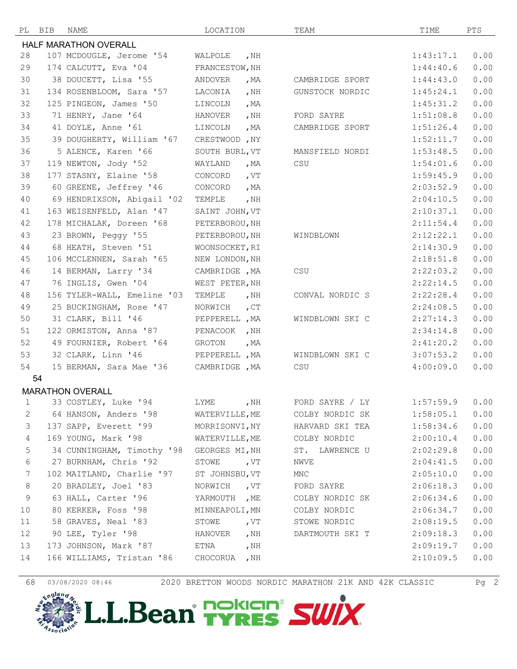

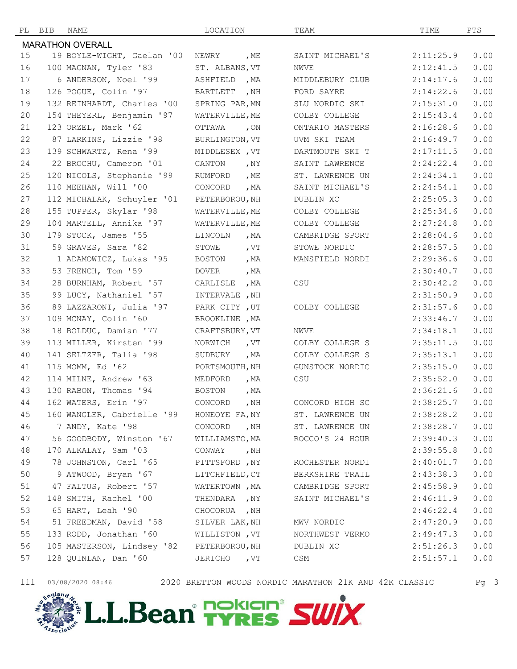

| 25 | 120 NICOLS, Stephanie '99  | RUMFORD<br>, ME    | ST. LAWRENCE UN | 2:24:34.1 | 0.00 |
|----|----------------------------|--------------------|-----------------|-----------|------|
| 26 | 110 MEEHAN, Will '00       | CONCORD<br>, $MA$  | SAINT MICHAEL'S | 2:24:54.1 | 0.00 |
| 27 | 112 MICHALAK, Schuyler '01 | PETERBOROU, NH     | DUBLIN XC       | 2:25:05.3 | 0.00 |
| 28 | 155 TUPPER, Skylar '98     | WATERVILLE, ME     | COLBY COLLEGE   | 2:25:34.6 | 0.00 |
| 29 | 104 MARTELL, Annika '97    | WATERVILLE, ME     | COLBY COLLEGE   | 2:27:24.8 | 0.00 |
| 30 | 179 STOCK, James '55       | LINCOLN<br>, $MA$  | CAMBRIDGE SPORT | 2:28:04.6 | 0.00 |
| 31 | 59 GRAVES, Sara '82        | STOWE<br>, $VT$    | STOWE NORDIC    | 2:28:57.5 | 0.00 |
| 32 | 1 ADAMOWICZ, Lukas '95     | BOSTON<br>, $MA$   | MANSFIELD NORDI | 2:29:36.6 | 0.00 |
| 33 | 53 FRENCH, Tom '59         | DOVER<br>, $MA$    |                 | 2:30:40.7 | 0.00 |
| 34 | 28 BURNHAM, Robert '57     | CARLISLE<br>, $MA$ | CSU             | 2:30:42.2 | 0.00 |
| 35 | 99 LUCY, Nathaniel '57     | INTERVALE , NH     |                 | 2:31:50.9 | 0.00 |
| 36 | 89 LAZZARONI, Julia '97    | PARK CITY, UT      | COLBY COLLEGE   | 2:31:57.6 | 0.00 |
| 37 | 109 MCNAY, Colin '60       | BROOKLINE , MA     |                 | 2:33:46.7 | 0.00 |
| 38 | 18 BOLDUC, Damian '77      | CRAFTSBURY, VT     | NWVE            | 2:34:18.1 | 0.00 |
| 39 | 113 MILLER, Kirsten '99    | NORWICH<br>, VT    | COLBY COLLEGE S | 2:35:11.5 | 0.00 |
| 40 | 141 SELTZER, Talia '98     | , MA<br>SUDBURY    | COLBY COLLEGE S | 2:35:13.1 | 0.00 |
| 41 | 115 MOMM, Ed '62           | PORTSMOUTH, NH     | GUNSTOCK NORDIC | 2:35:15.0 | 0.00 |
| 42 | 114 MILNE, Andrew '63      | MEDFORD<br>, MA    | CSU             | 2:35:52.0 | 0.00 |
| 43 | 130 RABON, Thomas '94      | BOSTON<br>, $MA$   |                 | 2:36:21.6 | 0.00 |
| 44 | 162 WATERS, Erin '97       | CONCORD<br>, $NH$  | CONCORD HIGH SC | 2:38:25.7 | 0.00 |
| 45 | 160 WANGLER, Gabrielle '99 | HONEOYE FA, NY     | ST. LAWRENCE UN | 2:38:28.2 | 0.00 |
| 46 | 7 ANDY, Kate '98           | CONCORD<br>, $NH$  | ST. LAWRENCE UN | 2:38:28.7 | 0.00 |
| 47 | 56 GOODBODY, Winston '67   | WILLIAMSTO, MA     | ROCCO'S 24 HOUR | 2:39:40.3 | 0.00 |
| 48 | 170 ALKALAY, Sam '03       | CONWAY<br>, $NH$   |                 | 2:39:55.8 | 0.00 |
| 49 | 78 JOHNSTON, Carl '65      | PITTSFORD, NY      | ROCHESTER NORDI | 2:40:01.7 | 0.00 |
| 50 | 9 ATWOOD, Bryan '67        | LITCHFIELD, CT     | BERKSHIRE TRAIL | 2:43:38.3 | 0.00 |
| 51 | 47 FALTUS, Robert '57      | WATERTOWN, MA      | CAMBRIDGE SPORT | 2:45:58.9 | 0.00 |
| 52 | 148 SMITH, Rachel '00      | THENDARA , NY      | SAINT MICHAEL'S | 2:46:11.9 | 0.00 |
| 53 | 65 HART, Leah '90          | CHOCORUA , NH      |                 | 2:46:22.4 | 0.00 |
| 54 | 51 FREEDMAN, David '58     | SILVER LAK, NH     | MWV NORDIC      | 2:47:20.9 | 0.00 |
| 55 | 133 RODD, Jonathan '60     | WILLISTON, VT      | NORTHWEST VERMO | 2:49:47.3 | 0.00 |
| 56 | 105 MASTERSON, Lindsey '82 | PETERBOROU, NH     | DUBLIN XC       | 2:51:26.3 | 0.00 |
| 57 | 128 QUINLAN, Dan '60       | JERICHO , VT       | CSM             | 2:51:57.1 | 0.00 |
|    |                            |                    |                 |           |      |

 154 THEYERL, Benjamin '97 WATERVILLE,ME COLBY COLLEGE 2:15:43.4 0.00 123 ORZEL, Mark '62 OTTAWA ,ON ONTARIO MASTERS 2:16:28.6 0.00 87 LARKINS, Lizzie '98 BURLINGTON,VT UVM SKI TEAM 2:16:49.7 0.00 139 SCHWARTZ, Rena '99 MIDDLESEX ,VT DARTMOUTH SKI T 2:17:11.5 0.00 22 BROCHU, Cameron '01 CANTON ,NY SAINT LAWRENCE 2:24:22.4 0.00

PL BIB NAME LOCATION TEAM TIME PTS MARATHON OVERALL 19 BOYLE-WIGHT, Gaelan '00 NEWRY ,ME SAINT MICHAEL'S 2:11:25.9 0.00 100 MAGNAN, Tyler '83 ST. ALBANS,VT NWVE 2:12:41.5 0.00 6 ANDERSON, Noel '99 ASHFIELD ,MA MIDDLEBURY CLUB 2:14:17.6 0.00 126 POGUE, Colin '97 BARTLETT ,NH FORD SAYRE 2:14:22.6 0.00 132 REINHARDT, Charles '00 SPRING PAR,MN SLU NORDIC SKI 2:15:31.0 0.00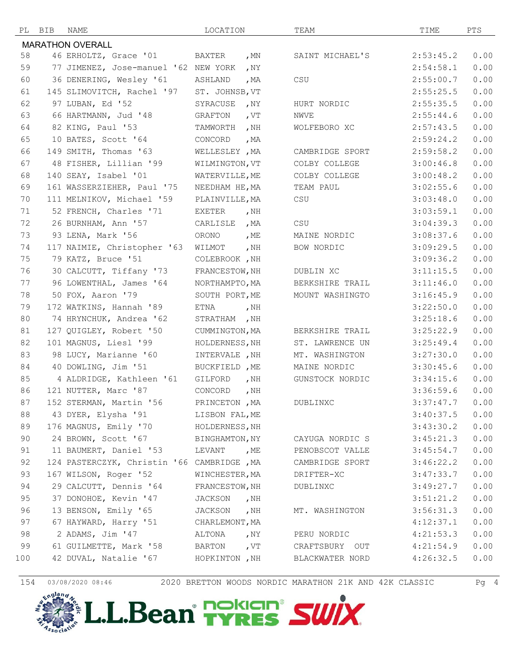| PL  | BIB | NAME                                              | LOCATION       |        | TEAM            | TIME      | PTS  |
|-----|-----|---------------------------------------------------|----------------|--------|-----------------|-----------|------|
|     |     | <b>MARATHON OVERALL</b>                           |                |        |                 |           |      |
| 58  |     | 46 ERHOLTZ, Grace '01                             | BAXTER         | , $MN$ | SAINT MICHAEL'S | 2:53:45.2 | 0.00 |
| 59  |     | 77 JIMENEZ, Jose-manuel '62 NEW YORK              |                | , $NY$ |                 | 2:54:58.1 | 0.00 |
| 60  |     | 36 DENERING, Wesley '61                           | ASHLAND        | , $MA$ | CSU             | 2:55:00.7 | 0.00 |
| 61  |     | 145 SLIMOVITCH, Rachel '97                        | ST. JOHNSB, VT |        |                 | 2:55:25.5 | 0.00 |
| 62  |     | 97 LUBAN, Ed '52                                  | SYRACUSE       | , $NY$ | HURT NORDIC     | 2:55:35.5 | 0.00 |
| 63  |     | 66 HARTMANN, Jud '48                              | GRAFTON        | , $VT$ | NWVE            | 2:55:44.6 | 0.00 |
| 64  |     | 82 KING, Paul '53                                 | TAMWORTH       | , $NH$ | WOLFEBORO XC    | 2:57:43.5 | 0.00 |
| 65  |     | 10 BATES, Scott '64                               | CONCORD        | , $MA$ |                 | 2:59:24.2 | 0.00 |
| 66  |     | 149 SMITH, Thomas '63                             | WELLESLEY , MA |        | CAMBRIDGE SPORT | 2:59:58.2 | 0.00 |
| 67  |     | 48 FISHER, Lillian '99                            | WILMINGTON, VT |        | COLBY COLLEGE   | 3:00:46.8 | 0.00 |
| 68  |     | 140 SEAY, Isabel '01                              | WATERVILLE, ME |        | COLBY COLLEGE   | 3:00:48.2 | 0.00 |
| 69  |     | 161 WASSERZIEHER, Paul '75                        | NEEDHAM HE, MA |        | TEAM PAUL       | 3:02:55.6 | 0.00 |
| 70  |     | 111 MELNIKOV, Michael '59                         | PLAINVILLE, MA |        | CSU             | 3:03:48.0 | 0.00 |
| 71  |     | 52 FRENCH, Charles '71                            | EXETER         | , NH   |                 | 3:03:59.1 | 0.00 |
| 72  |     | 26 BURNHAM, Ann '57                               | CARLISLE       | , MA   | CSU             | 3:04:39.3 | 0.00 |
| 73  |     | 93 LENA, Mark '56                                 | ORONO          | , ME   | MAINE NORDIC    | 3:08:37.6 | 0.00 |
| 74  |     | 117 NAIMIE, Christopher '63                       | WILMOT         | , $NH$ | BOW NORDIC      | 3:09:29.5 | 0.00 |
| 75  |     | 79 KATZ, Bruce '51                                | COLEBROOK, NH  |        |                 | 3:09:36.2 | 0.00 |
| 76  |     | 30 CALCUTT, Tiffany '73                           | FRANCESTOW, NH |        | DUBLIN XC       | 3:11:15.5 | 0.00 |
| 77  |     | 96 LOWENTHAL, James '64                           | NORTHAMPTO, MA |        | BERKSHIRE TRAIL | 3:11:46.0 | 0.00 |
| 78  |     | 50 FOX, Aaron '79                                 | SOUTH PORT, ME |        | MOUNT WASHINGTO | 3:16:45.9 | 0.00 |
| 79  |     | 172 WATKINS, Hannah '89                           | ETNA           | , $NH$ |                 | 3:22:50.0 | 0.00 |
| 80  |     | 74 HRYNCHUK, Andrea '62                           | STRATHAM , NH  |        |                 | 3:25:18.6 | 0.00 |
| 81  |     | 127 QUIGLEY, Robert '50                           | CUMMINGTON, MA |        | BERKSHIRE TRAIL | 3:25:22.9 | 0.00 |
| 82  |     | 101 MAGNUS, Liesl '99                             | HOLDERNESS, NH |        | ST. LAWRENCE UN | 3:25:49.4 | 0.00 |
| 83  |     | 98 LUCY, Marianne '60                             | INTERVALE , NH |        | MT. WASHINGTON  | 3:27:30.0 | 0.00 |
| 84  |     | 40 DOWLING, Jim '51                               | BUCKFIELD , ME |        | MAINE NORDIC    | 3:30:45.6 | 0.00 |
| 85  |     | 4 ALDRIDGE, Kathleen '61                          | GILFORD        | , $NH$ | GUNSTOCK NORDIC | 3:34:15.6 | 0.00 |
| 86  |     | 121 NUTTER, Marc '87                              | CONCORD        | , $NH$ |                 | 3:36:59.6 | 0.00 |
| 87  |     | 152 STERMAN, Martin '56                           | PRINCETON, MA  |        | DUBLINXC        | 3:37:47.7 | 0.00 |
| 88  |     | 43 DYER, Elysha '91                               | LISBON FAL, ME |        |                 | 3:40:37.5 | 0.00 |
| 89  |     | 176 MAGNUS, Emily '70                             | HOLDERNESS, NH |        |                 | 3:43:30.2 | 0.00 |
| 90  |     | 24 BROWN, Scott '67                               | BINGHAMTON, NY |        | CAYUGA NORDIC S | 3:45:21.3 | 0.00 |
| 91  |     | 11 BAUMERT, Daniel '53                            | LEVANT , ME    |        | PENOBSCOT VALLE | 3:45:54.7 | 0.00 |
| 92  |     | 124 PASTERCZYK, Christin '66 CAMBRIDGE, MA        |                |        | CAMBRIDGE SPORT | 3:46:22.2 | 0.00 |
| 93  |     | 167 WILSON, Roger '52                             | WINCHESTER, MA |        | DRIFTER-XC      | 3:47:33.7 | 0.00 |
| 94  |     | 29 CALCUTT, Dennis '64                            | FRANCESTOW, NH |        | DUBLINXC        | 3:49:27.7 | 0.00 |
| 95  |     | 37 DONOHOE, Kevin '47                             | JACKSON , NH   |        |                 | 3:51:21.2 | 0.00 |
| 96  |     | 13 BENSON, Emily '65                              | JACKSON , NH   |        | MT. WASHINGTON  | 3:56:31.3 | 0.00 |
| 97  |     | 67 HAYWARD, Harry '51                             | CHARLEMONT, MA |        |                 | 4:12:37.1 | 0.00 |
| 98  |     | 2 ADAMS, Jim '47                                  | ALTONA , NY    |        | PERU NORDIC     | 4:21:53.3 | 0.00 |
| 99  |     | 61 GUILMETTE, Mark '58 BARTON , VT CRAFTSBURY OUT |                |        |                 | 4:21:54.9 | 0.00 |
| 100 |     | 42 DUVAL, Natalie '67 HOPKINTON, NH               |                |        | BLACKWATER NORD | 4:26:32.5 | 0.00 |
|     |     |                                                   |                |        |                 |           |      |